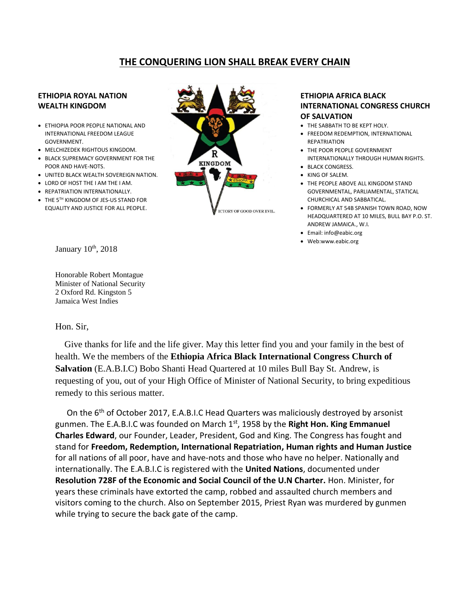# **THE CONQUERING LION SHALL BREAK EVERY CHAIN**

## **ETHIOPIA ROYAL NATION WEALTH KINGDOM**

- **ETHIOPIA POOR PEOPLE NATIONAL AND** INTERNATIONAL FREEDOM LEAGUE GOVERNMENT.
- MELCHIZEDEK RIGHTOUS KINGDOM.
- BLACK SUPREMACY GOVERNMENT FOR THE POOR AND HAVE-NOTS.
- UNITED BLACK WEALTH SOVEREIGN NATION.
- LORD OF HOST THE I AM THE I AM.
- REPATRIATION INTERNATIONALLY.
- THE 5TH KINGDOM OF JES-US STAND FOR EQUALITY AND JUSTICE FOR ALL PEOPLE.



## **ETHIOPIA AFRICA BLACK INTERNATIONAL CONGRESS CHURCH OF SALVATION**

- THE SABBATH TO BE KEPT HOLY.
- FREEDOM REDEMPTION, INTERNATIONAL **REPATRIATION**
- THE POOR PEOPLE GOVERNMENT INTERNATIONALLY THROUGH HUMAN RIGHTS.
- BLACK CONGRESS.
- KING OF SALEM.
- THE PEOPLE ABOVE ALL KINGDOM STAND GOVERNMENTAL, PARLIAMENTAL, STATICAL CHURCHICAL AND SABBATICAL.
- FORMERLY AT 54B SPANISH TOWN ROAD, NOW HEADQUARTERED AT 10 MILES, BULL BAY P.O. ST. ANDREW JAMAICA., W.I.
- Email: info@eabic.org
- Web:www.eabic.org

January 10<sup>th</sup>, 2018

Honorable Robert Montague Minister of National Security 2 Oxford Rd. Kingston 5 Jamaica West Indies

## Hon. Sir,

 Give thanks for life and the life giver. May this letter find you and your family in the best of health. We the members of the **Ethiopia Africa Black International Congress Church of Salvation** (E.A.B.I.C) Bobo Shanti Head Quartered at 10 miles Bull Bay St. Andrew, is requesting of you, out of your High Office of Minister of National Security, to bring expeditious remedy to this serious matter.

On the 6<sup>th</sup> of October 2017, E.A.B.I.C Head Quarters was maliciously destroyed by arsonist gunmen. The E.A.B.I.C was founded on March 1st, 1958 by the **Right Hon. King Emmanuel Charles Edward**, our Founder, Leader, President, God and King. The Congress has fought and stand for **Freedom, Redemption, International Repatriation, Human rights and Human Justice**  for all nations of all poor, have and have-nots and those who have no helper. Nationally and internationally. The E.A.B.I.C is registered with the **United Nations**, documented under **Resolution 728F of the Economic and Social Council of the U.N Charter.** Hon. Minister, for years these criminals have extorted the camp, robbed and assaulted church members and visitors coming to the church. Also on September 2015, Priest Ryan was murdered by gunmen while trying to secure the back gate of the camp.